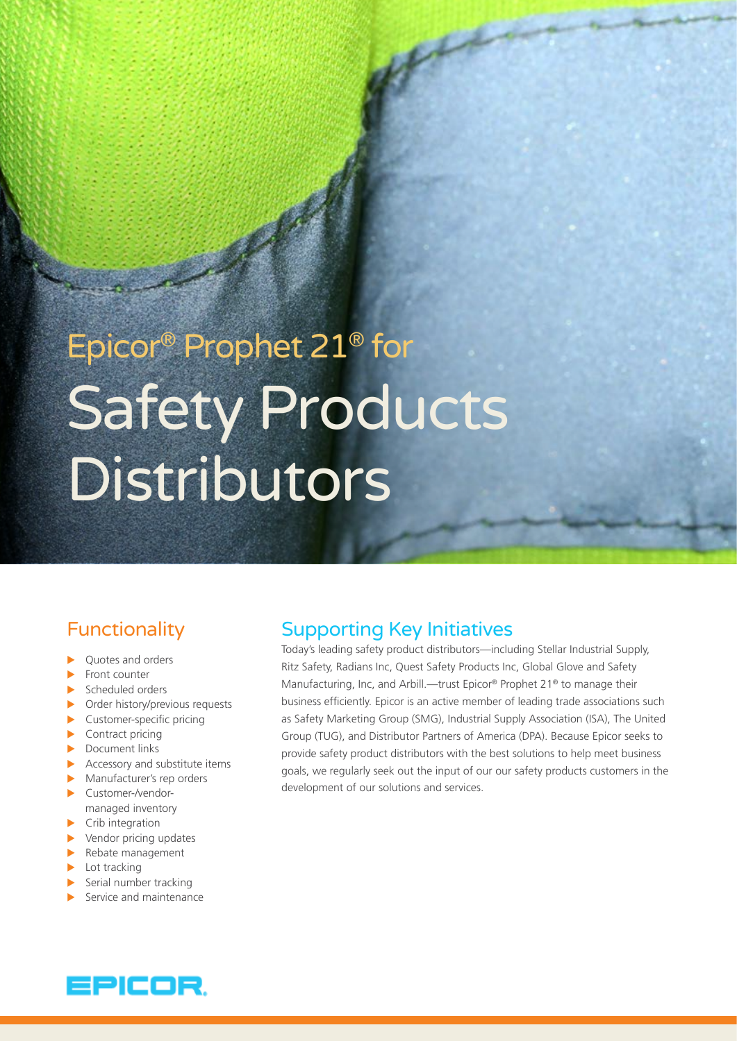# Epicor® Prophet 21® for Safety Products Distributors

# Functionality

- Ouotes and orders
- $\blacktriangleright$  Front counter
- $\blacktriangleright$  Scheduled orders
- $\triangleright$  Order history/previous requests
- $\blacktriangleright$  Customer-specific pricing
- $\blacktriangleright$  Contract pricing
- $\blacktriangleright$  Document links
- $\blacktriangleright$  Accessory and substitute items
- $\blacktriangleright$  Manufacturer's rep orders  $\blacktriangleright$  Customer-/vendormanaged inventory
- $\blacktriangleright$  Crib integration
- $\blacktriangleright$  Vendor pricing updates
- $\blacktriangleright$  Rebate management
- $\blacktriangleright$  Lot tracking
- $\blacktriangleright$  Serial number tracking
- $\blacktriangleright$  Service and maintenance

# Supporting Key Initiatives

Today's leading safety product distributors—including Stellar Industrial Supply, Ritz Safety, Radians Inc, Quest Safety Products Inc, Global Glove and Safety Manufacturing, Inc, and Arbill.—trust Epicor® Prophet 21<sup>®</sup> to manage their business efficiently. Epicor is an active member of leading trade associations such as Safety Marketing Group (SMG), Industrial Supply Association (ISA), The United Group (TUG), and Distributor Partners of America (DPA). Because Epicor seeks to provide safety product distributors with the best solutions to help meet business goals, we regularly seek out the input of our our safety products customers in the development of our solutions and services.

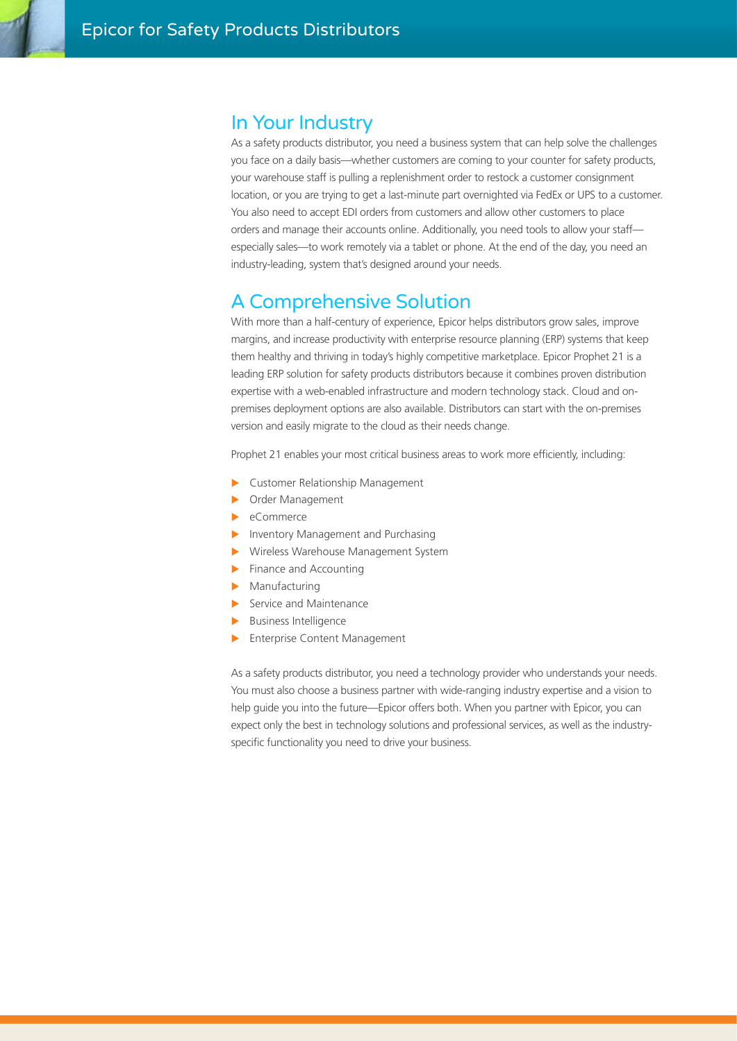# In Your Industry

As a safety products distributor, you need a business system that can help solve the challenges you face on a daily basis—whether customers are coming to your counter for safety products, your warehouse staff is pulling a replenishment order to restock a customer consignment location, or you are trying to get a last-minute part overnighted via FedEx or UPS to a customer. You also need to accept EDI orders from customers and allow other customers to place orders and manage their accounts online. Additionally, you need tools to allow your staff especially sales—to work remotely via a tablet or phone. At the end of the day, you need an industry-leading, system that's designed around your needs.

# A Comprehensive Solution

With more than a half-century of experience, Epicor helps distributors grow sales, improve margins, and increase productivity with enterprise resource planning (ERP) systems that keep them healthy and thriving in today's highly competitive marketplace. Epicor Prophet 21 is a leading ERP solution for safety products distributors because it combines proven distribution expertise with a web-enabled infrastructure and modern technology stack. Cloud and onpremises deployment options are also available. Distributors can start with the on-premises version and easily migrate to the cloud as their needs change.

Prophet 21 enables your most critical business areas to work more efficiently, including:

- ▶ Customer Relationship Management
- **Dider Management**
- $\blacktriangleright$  eCommerce
- Inventory Management and Purchasing
- **X** Wireless Warehouse Management System
- $\blacktriangleright$  Finance and Accounting
- $\blacktriangleright$  Manufacturing
- $\blacktriangleright$  Service and Maintenance
- $\blacktriangleright$  Business Intelligence
- Enterprise Content Management

As a safety products distributor, you need a technology provider who understands your needs. You must also choose a business partner with wide-ranging industry expertise and a vision to help guide you into the future—Epicor offers both. When you partner with Epicor, you can expect only the best in technology solutions and professional services, as well as the industryspecific functionality you need to drive your business.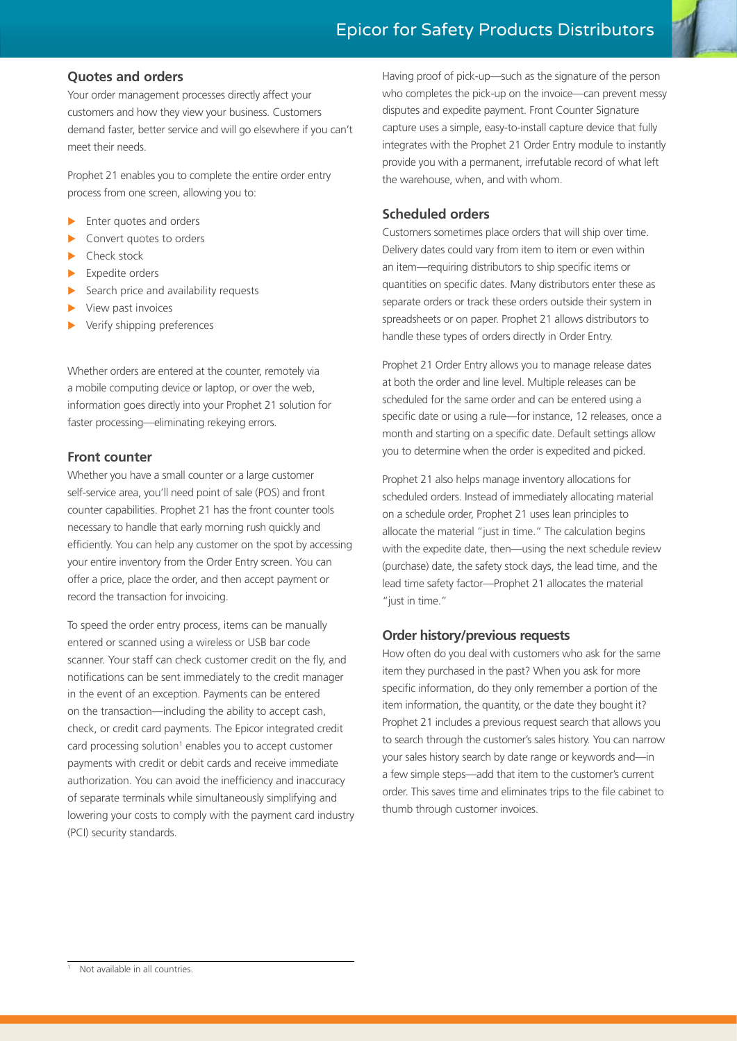# **Quotes and orders**

Your order management processes directly affect your customers and how they view your business. Customers demand faster, better service and will go elsewhere if you can't meet their needs.

Prophet 21 enables you to complete the entire order entry process from one screen, allowing you to:

- Enter quotes and orders
- Convert quotes to orders
- Check stock
- Expedite orders
- Search price and availability requests
- View past invoices
- Verify shipping preferences

Whether orders are entered at the counter, remotely via a mobile computing device or laptop, or over the web, information goes directly into your Prophet 21 solution for faster processing—eliminating rekeying errors.

# **Front counter**

Whether you have a small counter or a large customer self-service area, you'll need point of sale (POS) and front counter capabilities. Prophet 21 has the front counter tools necessary to handle that early morning rush quickly and efficiently. You can help any customer on the spot by accessing your entire inventory from the Order Entry screen. You can offer a price, place the order, and then accept payment or record the transaction for invoicing.

To speed the order entry process, items can be manually entered or scanned using a wireless or USB bar code scanner. Your staff can check customer credit on the fly, and notifications can be sent immediately to the credit manager in the event of an exception. Payments can be entered on the transaction—including the ability to accept cash, check, or credit card payments. The Epicor integrated credit card processing solution<sup>1</sup> enables you to accept customer payments with credit or debit cards and receive immediate authorization. You can avoid the inefficiency and inaccuracy of separate terminals while simultaneously simplifying and lowering your costs to comply with the payment card industry (PCI) security standards.

Having proof of pick-up—such as the signature of the person who completes the pick-up on the invoice—can prevent messy disputes and expedite payment. Front Counter Signature capture uses a simple, easy-to-install capture device that fully integrates with the Prophet 21 Order Entry module to instantly provide you with a permanent, irrefutable record of what left the warehouse, when, and with whom.

# **Scheduled orders**

Customers sometimes place orders that will ship over time. Delivery dates could vary from item to item or even within an item—requiring distributors to ship specific items or quantities on specific dates. Many distributors enter these as separate orders or track these orders outside their system in spreadsheets or on paper. Prophet 21 allows distributors to handle these types of orders directly in Order Entry.

Prophet 21 Order Entry allows you to manage release dates at both the order and line level. Multiple releases can be scheduled for the same order and can be entered using a specific date or using a rule—for instance, 12 releases, once a month and starting on a specific date. Default settings allow you to determine when the order is expedited and picked.

Prophet 21 also helps manage inventory allocations for scheduled orders. Instead of immediately allocating material on a schedule order, Prophet 21 uses lean principles to allocate the material "just in time." The calculation begins with the expedite date, then—using the next schedule review (purchase) date, the safety stock days, the lead time, and the lead time safety factor—Prophet 21 allocates the material "just in time."

# **Order history/previous requests**

How often do you deal with customers who ask for the same item they purchased in the past? When you ask for more specific information, do they only remember a portion of the item information, the quantity, or the date they bought it? Prophet 21 includes a previous request search that allows you to search through the customer's sales history. You can narrow your sales history search by date range or keywords and—in a few simple steps—add that item to the customer's current order. This saves time and eliminates trips to the file cabinet to thumb through customer invoices.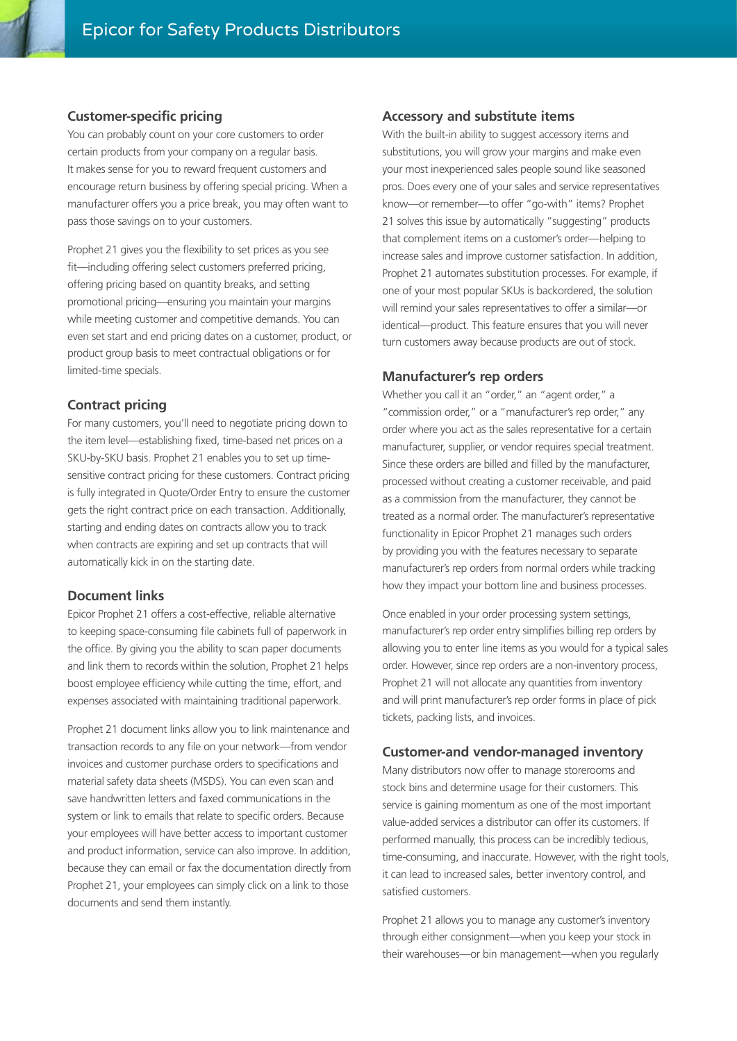#### **Customer-specific pricing**

You can probably count on your core customers to order certain products from your company on a regular basis. It makes sense for you to reward frequent customers and encourage return business by offering special pricing. When a manufacturer offers you a price break, you may often want to pass those savings on to your customers.

Prophet 21 gives you the flexibility to set prices as you see fit—including offering select customers preferred pricing, offering pricing based on quantity breaks, and setting promotional pricing—ensuring you maintain your margins while meeting customer and competitive demands. You can even set start and end pricing dates on a customer, product, or product group basis to meet contractual obligations or for limited-time specials.

#### **Contract pricing**

For many customers, you'll need to negotiate pricing down to the item level—establishing fixed, time-based net prices on a SKU-by-SKU basis. Prophet 21 enables you to set up timesensitive contract pricing for these customers. Contract pricing is fully integrated in Quote/Order Entry to ensure the customer gets the right contract price on each transaction. Additionally, starting and ending dates on contracts allow you to track when contracts are expiring and set up contracts that will automatically kick in on the starting date.

#### **Document links**

Epicor Prophet 21 offers a cost-effective, reliable alternative to keeping space-consuming file cabinets full of paperwork in the office. By giving you the ability to scan paper documents and link them to records within the solution, Prophet 21 helps boost employee efficiency while cutting the time, effort, and expenses associated with maintaining traditional paperwork.

Prophet 21 document links allow you to link maintenance and transaction records to any file on your network—from vendor invoices and customer purchase orders to specifications and material safety data sheets (MSDS). You can even scan and save handwritten letters and faxed communications in the system or link to emails that relate to specific orders. Because your employees will have better access to important customer and product information, service can also improve. In addition, because they can email or fax the documentation directly from Prophet 21, your employees can simply click on a link to those documents and send them instantly.

#### **Accessory and substitute items**

With the built-in ability to suggest accessory items and substitutions, you will grow your margins and make even your most inexperienced sales people sound like seasoned pros. Does every one of your sales and service representatives know—or remember—to offer "go-with" items? Prophet 21 solves this issue by automatically "suggesting" products that complement items on a customer's order—helping to increase sales and improve customer satisfaction. In addition, Prophet 21 automates substitution processes. For example, if one of your most popular SKUs is backordered, the solution will remind your sales representatives to offer a similar—or identical—product. This feature ensures that you will never turn customers away because products are out of stock.

#### **Manufacturer's rep orders**

Whether you call it an "order," an "agent order," a "commission order," or a "manufacturer's rep order," any order where you act as the sales representative for a certain manufacturer, supplier, or vendor requires special treatment. Since these orders are billed and filled by the manufacturer, processed without creating a customer receivable, and paid as a commission from the manufacturer, they cannot be treated as a normal order. The manufacturer's representative functionality in Epicor Prophet 21 manages such orders by providing you with the features necessary to separate manufacturer's rep orders from normal orders while tracking how they impact your bottom line and business processes.

Once enabled in your order processing system settings, manufacturer's rep order entry simplifies billing rep orders by allowing you to enter line items as you would for a typical sales order. However, since rep orders are a non-inventory process, Prophet 21 will not allocate any quantities from inventory and will print manufacturer's rep order forms in place of pick tickets, packing lists, and invoices.

#### **Customer-and vendor-managed inventory**

Many distributors now offer to manage storerooms and stock bins and determine usage for their customers. This service is gaining momentum as one of the most important value-added services a distributor can offer its customers. If performed manually, this process can be incredibly tedious, time-consuming, and inaccurate. However, with the right tools, it can lead to increased sales, better inventory control, and satisfied customers.

Prophet 21 allows you to manage any customer's inventory through either consignment—when you keep your stock in their warehouses—or bin management—when you regularly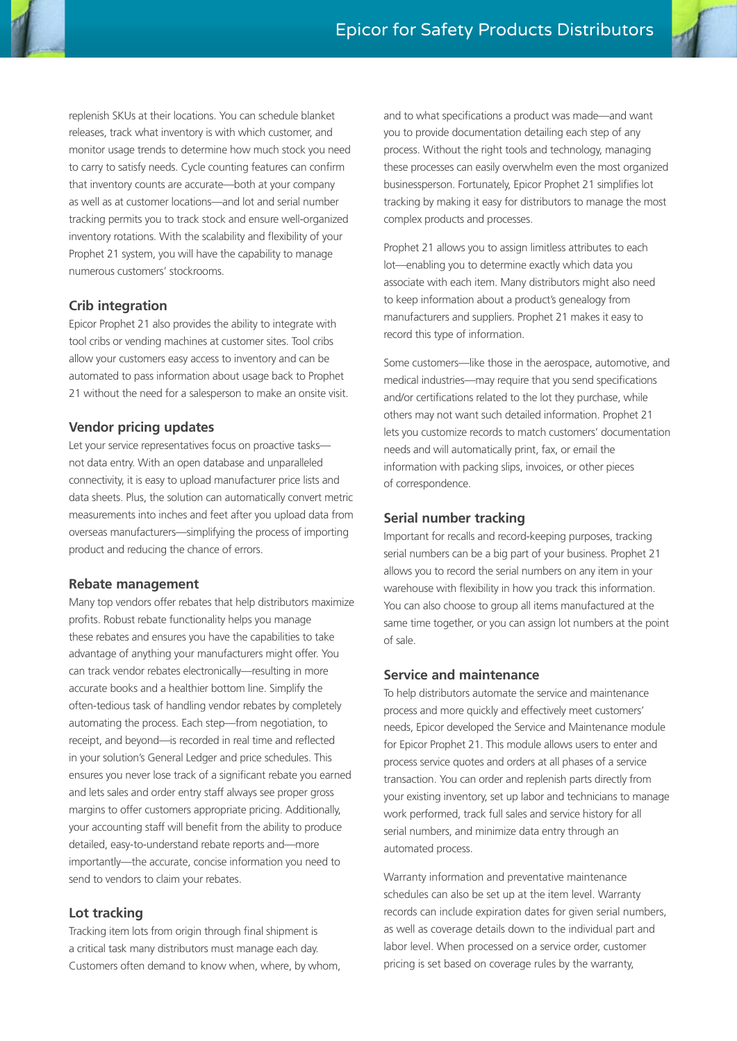

replenish SKUs at their locations. You can schedule blanket releases, track what inventory is with which customer, and monitor usage trends to determine how much stock you need to carry to satisfy needs. Cycle counting features can confirm that inventory counts are accurate—both at your company as well as at customer locations—and lot and serial number tracking permits you to track stock and ensure well-organized inventory rotations. With the scalability and flexibility of your Prophet 21 system, you will have the capability to manage numerous customers' stockrooms.

# **Crib integration**

Epicor Prophet 21 also provides the ability to integrate with tool cribs or vending machines at customer sites. Tool cribs allow your customers easy access to inventory and can be automated to pass information about usage back to Prophet 21 without the need for a salesperson to make an onsite visit.

# **Vendor pricing updates**

Let your service representatives focus on proactive tasks not data entry. With an open database and unparalleled connectivity, it is easy to upload manufacturer price lists and data sheets. Plus, the solution can automatically convert metric measurements into inches and feet after you upload data from overseas manufacturers—simplifying the process of importing product and reducing the chance of errors.

# **Rebate management**

Many top vendors offer rebates that help distributors maximize profits. Robust rebate functionality helps you manage these rebates and ensures you have the capabilities to take advantage of anything your manufacturers might offer. You can track vendor rebates electronically—resulting in more accurate books and a healthier bottom line. Simplify the often-tedious task of handling vendor rebates by completely automating the process. Each step—from negotiation, to receipt, and beyond—is recorded in real time and reflected in your solution's General Ledger and price schedules. This ensures you never lose track of a significant rebate you earned and lets sales and order entry staff always see proper gross margins to offer customers appropriate pricing. Additionally, your accounting staff will benefit from the ability to produce detailed, easy-to-understand rebate reports and—more importantly—the accurate, concise information you need to send to vendors to claim your rebates.

# **Lot tracking**

Tracking item lots from origin through final shipment is a critical task many distributors must manage each day. Customers often demand to know when, where, by whom, and to what specifications a product was made—and want you to provide documentation detailing each step of any process. Without the right tools and technology, managing these processes can easily overwhelm even the most organized businessperson. Fortunately, Epicor Prophet 21 simplifies lot tracking by making it easy for distributors to manage the most complex products and processes.

Prophet 21 allows you to assign limitless attributes to each lot—enabling you to determine exactly which data you associate with each item. Many distributors might also need to keep information about a product's genealogy from manufacturers and suppliers. Prophet 21 makes it easy to record this type of information.

Some customers—like those in the aerospace, automotive, and medical industries—may require that you send specifications and/or certifications related to the lot they purchase, while others may not want such detailed information. Prophet 21 lets you customize records to match customers' documentation needs and will automatically print, fax, or email the information with packing slips, invoices, or other pieces of correspondence.

# **Serial number tracking**

Important for recalls and record-keeping purposes, tracking serial numbers can be a big part of your business. Prophet 21 allows you to record the serial numbers on any item in your warehouse with flexibility in how you track this information. You can also choose to group all items manufactured at the same time together, or you can assign lot numbers at the point of sale.

# **Service and maintenance**

To help distributors automate the service and maintenance process and more quickly and effectively meet customers' needs, Epicor developed the Service and Maintenance module for Epicor Prophet 21. This module allows users to enter and process service quotes and orders at all phases of a service transaction. You can order and replenish parts directly from your existing inventory, set up labor and technicians to manage work performed, track full sales and service history for all serial numbers, and minimize data entry through an automated process.

Warranty information and preventative maintenance schedules can also be set up at the item level. Warranty records can include expiration dates for given serial numbers, as well as coverage details down to the individual part and labor level. When processed on a service order, customer pricing is set based on coverage rules by the warranty,